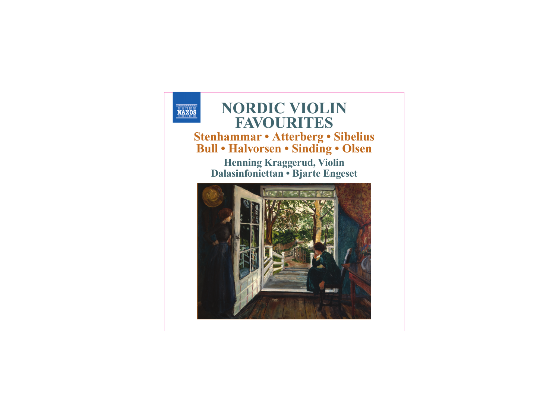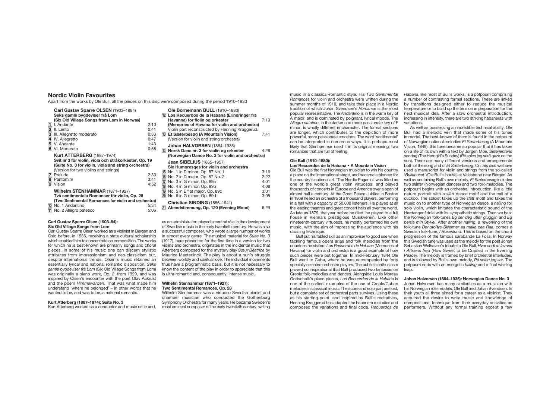# **Nordic Violin Favourites**

Apart from the works by Ole Bull, all the pieces on this disc were composed during the period 1910–1930

|                         | Carl Gustav Sparre OLSEN (1903–1984)<br>Seks gamle bygdeviser frå Lom |      | 1        |  |
|-------------------------|-----------------------------------------------------------------------|------|----------|--|
|                         | (Six Old Village Songs from Lom in Norway)                            |      |          |  |
| 11                      | I. Andante                                                            | 2:13 |          |  |
|                         | 2 II. Lento                                                           | 0:41 |          |  |
| 3                       | III. Allegretto moderato                                              | 0:33 | 1        |  |
| $\overline{\mathbf{4}}$ | IV. Allegretto                                                        | 0:47 |          |  |
|                         | 5 V. Andante                                                          | 1:43 |          |  |
|                         | 6 VI. Moderato                                                        | 0:58 | 1        |  |
|                         | <b>Kurt ATTERBERG (1887-1974)</b>                                     |      |          |  |
|                         | Svit nr 3 för violin, viola och stråkorkester, Op. 19                 |      |          |  |
|                         | (Suite No. 3 for violin, viola and string orchestra)                  |      |          |  |
|                         | (Version for two violins and strings)                                 |      |          |  |
|                         | 7 Prelude                                                             | 2:33 |          |  |
|                         | 8 Pantomim                                                            | 3:41 |          |  |
|                         | 9 Vision                                                              | 4:52 |          |  |
|                         | <b>Wilhelm STENHAMMAR (1871-1927)</b>                                 |      | 11111112 |  |
|                         | Två sentimentala Romanser för violin, Op. 28                          |      |          |  |
|                         | (Two Sentimental Romances for violin and orchestra)                   |      |          |  |
|                         | 10 No. 1 Andantino                                                    | 5:34 |          |  |
|                         |                                                                       |      |          |  |
|                         | 11 No. 2 Allegro patetico                                             | 5:06 | 2        |  |

## **Carl Gustav Sparre Olsen (1903–84): Six Old Village Songs from Lom**

Carl Gustav Sparre Olsen worked as a violinist in Bergen and Oslo before, in 1936, receiving a state cultural scholarship which enabled him to concentrate on composition. The works for which he is best-known are primarily songs and choral pieces. In some of his music one can discern stylistic attributes from impressionism and neo-classicism but, despite international trends, Olsen's music retained an essentially lyrical and national romantic disposition. *Seks gamle bygdeviser frå Lom* (Six Old Village Songs from Lom) was originally a piano work, *Op. 2*, from 1929, and was inspired by Olsen's encounter with the poet Olav Aukrust and the poem *Himmelvarden*. That was what made him understand 'where he belonged' – in other words that he wanted to be, and was to be, a national romantic.

#### **Kurt Atterberg (1887–1974): Suite No. 3**

Kurt Atterberg worked as a conductor and music critic and,

| Ole Bornemann BULL (1810-1880)<br>12 Los Recuerdos de la Habana (Erindringer fra<br>Havanna) for fiolin og orkester<br>(Memories of Havana for violin and orchestra)<br>Violin part reconstructed by Henning Kraggerud.<br>13 Et Sæterbesøg (A Mountain Vision)<br>(Version for violin and string orchestra) | 7:10<br>7:41                                 |
|--------------------------------------------------------------------------------------------------------------------------------------------------------------------------------------------------------------------------------------------------------------------------------------------------------------|----------------------------------------------|
| Johan HALVORSEN (1864-1935)<br>14 Norsk Dans nr. 3 for violin og orkester<br>(Norwegian Dance No. 3 for violin and orchestra)                                                                                                                                                                                | 4:28                                         |
| <b>Jean SIBELIUS (1865-1957)</b><br>Six Humoresges for violin and orchestra<br>15 No. 1 in D minor, Op. 87 No. 1<br>16 No. 2 in D major, Op. 87 No. 2<br>17 No. 3 in G minor, Op. 89a<br>18 No. 4 in G minor, Op. 89b<br>19 No. 5 in E flat major, Op. 89c<br>20 No. 6 in G minor, Op. 89d                   | 3:16<br>2:22<br>4:01<br>4:08<br>3:01<br>3:05 |
| Christian SINDING (1856-1941)<br>21 Abendstimmung, Op. 120 (Evening Mood)                                                                                                                                                                                                                                    | 6:29                                         |

as an administrator, played a central rôle in the development of Swedish music in the early twentieth century. He was also a successful composer, who wrote a large number of works in almost every genre. The musical material for *Suite No. 3* (1917), here presented for the first time in a version for two violins and orchestra, originates in the incidental music that Atterberg composed for the mystery play *Sœur Béatrice* by Maurice Maeterlinck. The play is about a nun's struggle between worldly and spiritual love. The individual movements thus have a programmatic basis, but it is not necessary to know the content of the play in order to appreciate that this is ultra-romantic and, consequently, intense music.

#### **Wilhelm Stenhammar (1871–1927): Two Sentimental Romances, Op. 28**

Wilhelm Stenhammar was a virtuoso Swedish pianist and chamber musician who conducted the Gothenburg Symphony Orchestra for many years. He became Sweden's most eminent composer of the early twentieth century, writing

music in a classical-romantic style. His *Two Sentimental Romances* for violin and orchestra were written during the summer months of 1910, and take their place in a Nordic tradition of which Johan Svendsen's *Romance* is the most popular representative. The *Andantino* is in the warm key of A major, and is dominated by poignant, lyrical moods. The *Allegro patetico*, in the darker and more passionate key of F minor, is wholly different in character. The formal sections are longer, which contributes to the depiction of more powerful, more passionate emotions. The word 'sentimental' can be interpreted in numerous ways. It is perhaps most likely that Stenhammar used it in its original meaning: two romances that are full of feeling.

# **Ole Bull (1810–1880): Los Recuerdos de la Habana • A Mountain Vision**

Ole Bull was the first Norwegian musician to win his country a place on the international stage, and became a pioneer for the country's national art. 'The Nordic Paganini' was fêted as one of the world's great violin virtuosos, and played thousands of concerts in Europe and America over a span of almost half a century. At the Great Peace Jubilee in Boston in 1869 he led an orchestra of a thousand players, performing in a hall with a capacity of 50,000 listeners. He played at all the leading theatres and great concert halls all over the world. As late as 1879, the year before he died, he played to a full house in Vienna's prestigious Musikverein. Like other nineteenth-century virtuosos, he mostly performed his own music, with the aim of impressing the audience with his dazzling technique.

Bull put his fabled skill as an improviser to good use when tackling famous opera arias and folk melodies from the countries he visited. *Los Recuerdos de Habana* (Memories of Havana) for violin and orchestra is a good example of how such pieces were put together. In mid-February 1844 Ole Bull went to Cuba, where he was accompanied by forty specially selected orchestra players. The public's enthusiasm proved so inspirational that Bull produced two fantasias on Creole folk-melodies and dances. Alongside Louis Moreau Gottschalk's piano pieces, *Los Recuerdos de la Habana* is one of the earliest examples of the use of Creole/Cuban melodies in classical music. The score and solo part are lost, but a complete set of orchestral parts survives. Using these as his starting-point, and inspired by Bull's recitatives, Henning Kraggerud has adapted the habanera melodies and composed the variations and final coda. *Recuerdos de*

*Habana*, like most of Bull's works, is a potpourri comprising a number of contrasting formal sections. These are linked by transitions designed either to reduce the musical temperature or to build up the tension in preparation for the next musical idea. After a slow orchestral introduction, increasing in intensity, there are two striking habaneras with variations.

As well as possessing an incredible technical ability, Ole Bull had a melodic vein that made some of his tunes immortal. The best-known of them is found in the potpourri of Norwegian national melodies *Et Sæterbesøg* (A Mountain Vision, 1849); this tune became so popular that it has taken on a life of its own with a text by Jørgen Møe, *Seterjentens søndag* (The Herdgirl's Sunday) (*På solen jeg ser*/I gaze on the sun). There are many different versions and arrangements both of the song and of *Et Sæterbesøg*. On this disc we have used a manuscript for violin and strings from the so-called '*Bullahuset'* (Ole Bull's house) at Valestrand near Bergen. As well as containing Bull's own melody, *Et Sæterbesøg* includes two *slåtter* (Norwegian dances) and two folk-melodies. The potpourri begins with an orchestral introduction, like a little nature portrait with a *slått* dance motif and the call of a cuckoo. The soloist takes up the *slått* motif and takes the music on to another type of Norwegian dance, a *halling* for solo violin, which imitates the characteristic sound of the Hardanger fiddle with its sympathetic strings. Then we hear the Norwegian folk-tunes *Eg ser deg utfør gluggjin* and *Eg beisla min Styvel*. After another *halling*, a reworking of the folk-tune *Der sto'tre Skjelmer aa maka paa Raa*, comes a Swedish folk-tune, *I Rosenlund*. This is based on the chord progression of the famous sarabande *La Folia*. In Norway this Swedish tune was used as the melody for the poet Johan Sebastian Welhaven's tribute to Ole Bull, *Hvor sødt at favnes i Aftnens fred* (How Sweet to be Cradled in the Evening Peace). The melody is framed by brief orchestral interludes, and is followed by Bull's own melody, *På solen jeg ser*. The potpourri ends with an energetic *halling* and a final whirling leap.

#### **Johan Halvorsen (1864–1935): Norwegian Dance No. 3** Johan Halvorsen has many similarities as a musician with his Norwegian rôle models, Ole Bull and Johan Svendsen. In their youth all three aimed for a career as a violinist. They acquired the desire to write music and knowledge of compositional technique from their everyday activities as performers. Without any formal training except a few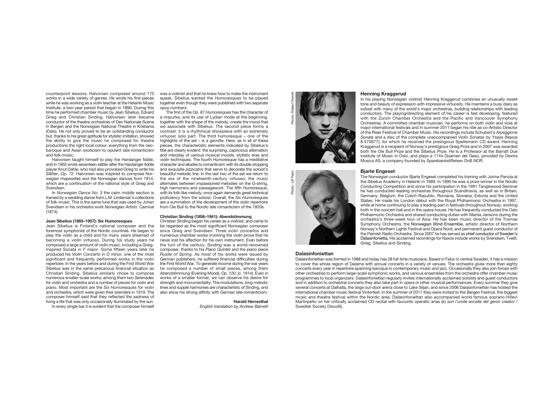counterpoint lessons, Halvorsen composed around 170 works in a wide variety of genres. He wrote his first pieces while he was working as a violin teacher at the Helsinki Music Institute, a two-year period that began in 1890. During this time he performed chamber music by Jean Sibelius, Edvard Grieg and Christian Sinding. Halvorsen later became conductor of the theatre orchestras of Den Nationale Scene in Bergen and the Norwegian National Theatre in Kristiania (Oslo). He not only proved to be an outstanding conductor but, thanks to his great aptitude for stylistic imitation, showed the ability to give the music he composed for theatre productions the right local colour, everything from the neobaroque and Asian exoticism to opulent late-romanticism and folk-music.

Halvorsen taught himself to play the Hardanger fiddle, and in 1903 wrote seventeen *slåtter* after the Hardanger fiddle player Knut Dahle, who had also provoked Grieg to write his *Slåtter*, *Op. 72*. Halvorsen was inspired to compose Norwegian rhapsodies and the Norwegian dances from 1914, which are a continuation of the national style of Grieg and Svendsen

In *Norwegian Dance No. 3* the calm middle section is framed by a wedding dance from L.M. Lindeman's collections of folk-music. This is the same tune that was used by Johan Svendsen in his orchestra work *Norwegian Artists' Carnival* (1874).

#### **Jean Sibelius (1865–1957): Six Humoresques**

Jean Sibelius is Finland's national composer and the foremost symphonist of the Nordic countries. He began to play the violin as a child and for many years dreamed of becoming a violin virtuoso. During his study years he composed a large amount of violin music, including a Grieginspired *Sonata in F major*. Some fifteen years later he produced his *Violin Concerto in D minor*, one of the most significant and frequently performed works in the violin repertoire. In the years before and during the First World War Sibelius was in the same precarious financial situation as Christian Sinding. Sibelius similarly chose to compose numerous smaller-scale works, among them two *Serenades* for violin and orchestra and a number of pieces for violin and piano. Most important are the *Six Humoresques* for violin and orchestra, which were given their première in 1919. The composer himself said that they reflected the sadness of living a life that was only occasionally illuminated by the sun.

In every single bar it is evident that the composer himself

was a violinist and that he knew how to make the instrument speak. Sibelius wanted the *Humoresques* to be played together even though they were published with two separate opus numbers.

The first of the *Op. 87 Humoresques* has the character of a mazurka, and its use of Lydian mode at the beginning together with the shape of the melody, create the mood that we associate with Sibelius. The second piece forms a contrast: it is a rhythmical showpiece with an extremely virtuosic solo part. The third humoresque – one of the highlights of the set – is a gavotte. Here, as in all of these pieces, the characteristic elements indicated by Sibelius's title are clearly evident: the surprising, capricious alternation and interplay of various musical moods, stylistic eras and violin techniques. The fourth *Humoresque* has a meditative character and alludes to romanticism with its double stopping and exquisite *pizzicatos* that serve to decorate the soloist's beautiful melodic line. In the last two of the set we return to the era of the nineteenth-century virtuoso; the music alternates between impassioned melodies on the G-string, high harmonics and passagework. The fifth *Humoresque*, with its folk-like melody, once again demands great technical proficiency from the soloist. Overall, the *Six Humoresques* are a summation of the development of the violin repertoire from Ole Bull to the Nordic late romanticism of the 1920s.

# **Christian Sinding (1856–1941): Abendstimmung**

Christian Sinding began his career as a violinist, and came to be regarded as the most significant Norwegian composer since Grieg and Svendsen. Three violin concertos and numerous chamber works involving the violin prove that he never lost his affection for his own instrument. Even before the turn of the century, Sinding was a world-renowned composer, thanks to his *Piano Quintet* and the piano piece *Rustle of Spring*. As most of his works were issued by German publishers, he suffered financial difficulties during the First World War. To generate income during the war years he composed a number of small pieces, among them *Abendstimmung* (Evening Mood), *Op. 120*, (c. 1914). Even in works of a smaller format, we can observe his desire for strength and monumentality. The modulations, long melodic lines and supple harmonies are characteristic of Sinding, and also show his strong affinity with German late-romanticism.

## **Harald Herresthal**

*English translation by Andrew Barnett*



# **Henning Kraggerud**

In his playing Norwegian violinist Henning Kraggerud combines an unusually sweet tone and beauty of expression with impressive virtuosity. He maintains a busy diary as soloist with many of the world's major orchestras, building relationships with leading conductors. The playing/directing element of his career is fast developing, featured with the Zurich Chamber Orchestra and the Pacific and Vancouver Symphony Orchestras. A committed chamber musician, he performs on both violin and viola at major international festivals and in summer 2011 began his rôle as co-Artistic Director of the Risør Festival of Chamber Music. His recordings include Schubert's *Arpeggione Sonata* and a disc of the complete unaccompanied *Violin Sonatas* by Ysaÿe (Naxos 8.570977), for which he received the prestigious Spellemann CD award. Henning Kraggerud is a recipient of Norway's prestigious Grieg Prize and in 2007 was awarded both the Ole Bull Prize and the Sibelius Prize. He is a Professor at the Barratt Due Institute of Music in Oslo, and plays a 1744 Guarneri del Gesù, provided by Dextra Musica AS, a company founded by Sparebankstiftelsen DnB NOR.



#### **Bjarte Engeset**

The Norwegian conductor Bjarte Engeset completed his training with Jorma Panula at the Sibelius Academy in Helsinki in 1989. In 1990 he was a prize-winner in the Nordic Conducting Competition and since his participation in the 1991 Tanglewood Seminar he has conducted leading orchestras throughout Scandinavia, as well as in Britain, Germany, Belgium, the Czech Republic, Romania, Slovakia, Estonia and the United States. He made his London début with the Royal Philharmonic Orchestra in 1997, while at home continuing to play a leading part in festivals throughout Norway, working both in the concert-hall and in the opera-house. He has frequently conducted the Oslo Philharmonic Orchestra and shared conducting duties with Mariss Jansons during the orchestra's three-week tour of Asia. He has been music director of the Tromsø Symphony Orchestra, the Norwegian Wind Ensemble, artistic director of Northern Norway's Northern Lights Festival and Opera Nord, and permanent guest conductor of the Flemish Radio Orchestra. Since 2007 he has served as chief conductor of Sweden's Dalasinfonietta. His acclaimed recordings for Naxos include works by Svendsen, Tveitt, Grieg, Sibelius and Sinding.

## **Dalasinfoniettan**

Dalasinfoniettan was formed in 1988 and today has 28 full-time musicians. Based in Falun in central Sweden, it has a mission to cover the whole region of Dalarna with annual concerts in a variety of venues. The orchestra gives more than eighty concerts every year in repertoire spanning baroque to contemporary music and jazz. Occasionally they also join forces with other orchestras to perform large-scale symphonic works, and various ensembles from the orchestra offer chamber music programmes to local organizers. Dalasinfoniettan regularly invites internationally acclaimed soloists and guest conductors and in addition to orchestral concerts they also take part in opera or other musical performances. Every summer they give several concerts at Dalhalla, the large out-door arena close to Lake Siljan, and since 2006 Dalasinfoniettan has hosted the international chamber music festival Vinterfest. In the summer of 2011 they were invited to the Bergen Festival, the biggest music and theatre festival within the Nordic area. Dalasinfoniettan also accompanied world famous soprano Hillevi Martinpelto on her critically acclaimed CD recital with favourite operatic arias (*Io son l'umile ancella del genio creator* / Swedish Society Discofil).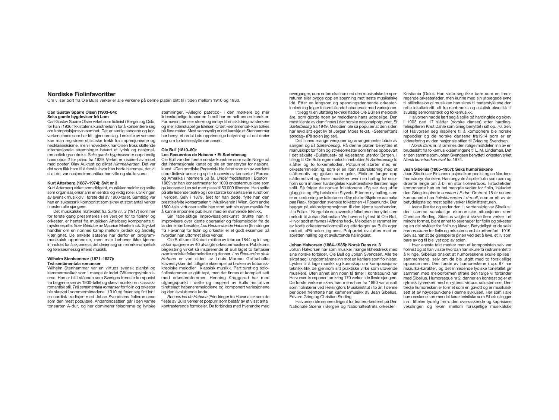# **Nordiske Fiolinfavoritter**

Om vi ser bort fra Ole Bulls verker er alle verkene på denne platen blitt til i tiden mellom 1910 og 1930.

#### **Carl Gustav Sparre Olsen (1903–84): Seks gamle bygdeviser frå Lom**

Carl Gustav Sparre Olsen virket som fiolinist i Bergen og Oslo, før han i 1936 fikk statens kunstnerlønn for å konsentrere seg om komposisjonsvirksomhet. Det er særlig sangene og korverkene hans som har fått gjennomslag. I enkelte av verkene kan man registrere stilistiske trekk fra impresjonisme og neoklassisisisme, men i hovedrekk har Olsen tross skiftende internasjonale strømninger bevart et lyrisk og nasjonalromantisk grunntrekk. *Seks gamle bygdeviser* er opprinnelig hans opus 2 for piano fra 1929. Verket er inspirert av møtet med poeten Olav Aukrust og diktet *Himmelvarden*. Det var det som fikk ham til å forstå «hvor han hørte hjemme», det vil si at det var nasjonalromantiker han ville og skulle være.

# **Kurt Atterberg (1887–1974): Svit nr 3**

Kurt Atterberg virket som dirigent, musikkanmelder og spilte som organisasjonsmann en sentral og viktig rolle i utviklingen av svensk musikkliv i første del av 1900-tallet. Samtidig var han en suksessrik komponist som skrev et stort antall verker i nesten alle sjangere.

Det musikalske materialet fra *Suite nr. 3* (1917) som her for første gang presenteres i en versjon for to fioliner og orkester, er hentet fra musikken Atterberg komponerte til mysteriespillet *Soer Béatrice* av Maurice Maeterlinck. Stykket handler om en nonnes kamp mellom jordisk og åndelig kjærlighet. De enkelte satsene har derfor en programmusikalsk opprinnelse, men man behøver ikke kjenne innholdet for å skjønne at det dreier seg om en erkeromantisk og følelsesmessig intens musikk.

#### **Wilhelm Stenhammar (1871–1927): Två sentimentala romanser**

Wilhelm Stenhammar var en virtuos svensk pianist og kammermusiker som i mange år ledet Göteborgsymfonikerne. Han er blitt stående som Sveriges fremste komponist fra begynnelsen av 1900-tallet og skrev musikk i en klassiskromantisk stil. *Två sentimentala romanser* for fiolin og orkester ble skrevet i sommermånedene i 1910 og føyer seg fint inn i en nordisk tradisjon med Johan Svendsens fiolinromanse som den mest populære. Andantinosatsen går i den varme tonearten A-dur, og her dominerer følsomme og lyriske

stemninger. «Allegro patetico» i den mørkere og mer lidenskapelige tonearten f-moll har en helt annen karakter. Formavsnittene er større og innbyr til en skildring av sterkere og mer lidenskapelige følelser. Ordet «sentimental» kan tolkes på flere måter. Mest sannsynlig er det kanskje at Stenhammar har benyttet ordet i sin opprinnelige betydning: at det dreier seg om to følelsesfylte romanser.

# **Ole Bull (1810–80):**

# **Los Recuerdos de Habana • Et Sæterbesøg**

Ole Bull var den første norske kunstner som satte Norge på det internasjonale kartet og ble en banebryter for nasjonal kunst. «Den nordiske Paganini» ble feiret som en av verdens store fiolinvirtuoser og spilte tusenvis av konserter i Europa og Amerika i nærmere 50 år. Under fredsfesten i Boston i 1869 var han konsertmester for 1000 orkestermusikere som ga konserter i en sal med plass til 50 000 tilhørere. Han spilte på alle ledende teatre og i de største konsertsalene rundt om verden. Selv i 1879, året før han døde, fylte han den prestisjefylte konsertsalen til Musikverein i Wien. Som andre 1800-talls virtuoser spilte han stort sett sin egen musikk for å kunne imponere publikum med en svimlende teknikk,

Sin fabelaktige improvisasjonskunst brukte han til improvisere over kjente operaarier og folkemelodier fra de landene han besøkte. *Los Recuerdos de Habana* (Erindringer fra Havanna) for fiolin og orkester er et godt eksempel på hvordan han utformet slike verker.

Ole Bull kom til Kuba i midten av februar 1844 og lot seg akkompagnere av 40 utvalgte orkestermusikere. Publikums begeistring virket så inspirerende at Bull laget to fantasier over kreolske folkemelodier og danser. *Los Recuerdos de la Habana* er ved siden av Louis Moreau Gottschalks klaverstykker det tidligste eksempel på bruken av kubanskkreolske melodier i klassisk musikk. Partituret og solofiolinstemmen er gått tapt, men det finnes et komplett sett med orkesterstemmer. Henning Kraggerud har med utgangspunkt i dette og inspirert av Bulls resitativer tilrettelagt habaneramelodiene og komponert variasjonene og den avsluttende koda.

*Recuerdos de Habana* (Erindringer fra Havana) er som de fleste av Bulls verker et potpurri som består av et visst antall kontrasterende formdeler. De forbindes med hverandre med overganger, som enten skal roe ned den musikalske temperaturen eller bygge opp en spenning mot neste musikalske idé. Etter en langsom og spenningsdannende orkesterinnledning følger to iørefallende habaneraer med variasjoner.

I tillegg til en ufattelig teknikk hadde Ole Bull en melodisk åre, som gjorde noen av melodiene hans udødelige. Den mest kjente av dem finnes i det norske nasjonalpotpurriet, *Et Sæterbesøg* fra 1849. Melodien ble så populær at den siden har levd sitt eget liv til Jørgen Moes tekst, «Seterjentens søndag» (På solen jeg ser).

Det finnes mange versjoner og arrangementer både av sangen og *Et Sæterbesøg*. På denne platen benyttes et manuskript for fiolin og strykeorkester som finnes oppbevart i det såkalte «Bullahuset» på Valestrand utenfor Bergen. I tillegg til Ole Bulls egen melodi inneholder *Et Sæterbesøg* to slåtter og to folkemelodier. Potpurriet starter med en orkesterinnledning, som er en liten naturskildring med et slåttemotiv og gjøken som galer. Fiolinen fanger opp slåttemotivet og leder musikken over i en halling for solofiolin som imiterer hardingfelas karakteristiske flerstemmige spill. Så følger de norske folketonene «Eg ser deg utfør gluggjin» og «Eg beisla min Styvel». Etter en ny halling, som er en omfoming av folketonen «Der sto´tre Skjelmer aa maka paa Raa», følger den svenske folketonen «I Rosenlund». Den bygger på akkordprogresjonen til den kjente sarabanden, «La Folia». I Norge ble den svenske folketonen benyttet som melodi til Johan Sebastian Welhavens hyllest til Ole Bull, «Hvor sødt at favnes i Aftnens fred». Melodien er rammet inn av korte orkestermellomspill og etterfølges av Bulls egen melodi, «På solen jeg ser». Potpurriet avsluttes med en spretten halling og et avsluttende hallingkast.

# **Johan Halvorsen (1864–1935): Norsk Dans nr. 3**

Johan Halvorsen har som musiker mange likhetstrekk med sine norske forbilder, Ole Bull og Johan Svendsen. Alle tre siktet seg i ungdomsårene inn mot en karriere som fiolinister. Lysten til å lage musikk og kunnskap om komposisjonsteknikk fikk de gjennom sitt praktiske virke som utøvende musikere. Uten annet enn noen få timer i kontrapunkt har Halvorsen komponert omkring 170 verker i de fleste sjangere. De første verkene skrev han mens han fra 1890 var ansatt som fiolinlærer ved Helsingfors Musikinstitut i to år. I denne perioden fremførte han kammermusikk av Jean Sibelius, Edvard Grieg og Christian Sinding.

Halvorsen ble senere dirigent for teaterorkesteret på Den Nationale Scene i Bergen og Nationalteatrets orkester i

Kristiania (Oslo). Han viste seg ikke bare som en fremragende orkesterleder, men kunne med sin utpregede evne til stilimitasjon gi musikken han skrev til teaterstykkene den rette lokalkoloritt, alt fra neobraokk og asiatisk eksotikk til svulstig senromantikk og folkemusikk.

Halvorsen hadde lært seg å spille på hardingfele og skrev 1903 ned 17 slåtter (norske danser) etter hardingfelespilleren Knut Dahle som Grieg benyttet i sitt op. 76. Selv lot Halvorsen seg inspirere til å komponere ble norske rapsodier og de norske dansene fra1914 som er en videreføring av den nasjonale stilen til Grieg og Svendsen.

I *Norsk dans* nr. 3 rammes den rolige midtdelen inn av en brudeslått fra folkemusikksamlingene til L. M. Lindeman. Det er den samme som Johan Svendsen benyttet i orkesterverket *Norsk kunstnerkarneval* fra 1874.

#### **Jean Sibelius (1865–1957): Seks humoreskene**

Jean Sibelius er Finlands nasjonalkomponist og en Nordens fremste symfonikere. Han begynte å spille fiolin som barn og drømte lenge om å bli en stor fiolinvirtuos. I studietiden komponerte han en hel mengde verker for fiolin, inkludert den Grieg-inspirerte *sonaten i F-dur*. Omtrent 15 år senere komponerte han *fiolinkonserten i d-moll*, som er ett av de betydeligste og mest spilte verker i fiolinlitteraturen.

I årene like før og under den 1. verdenskrig var Sibelius i den samme vanskelige økonomiske situasjonen som Christian Sinding. Sibelius valgte å skrive flere verker i et mindre format, blant annet to serenader for fiolin og orkester og en del stykker for fiolin og klaver. Betydeligst er de *seks humoreskene* for fiolin og orkester som ble urfremført i 1919. Selv sa han at de gjenspeilte pinen ved det å leve, et liv som bare av og til ble lyst opp av solen.

I hver eneste takt merker man at komponisten selv var fiolinist og at han visste hvordan han skulle få instrumentet til å klinge. Sibelius ønsket at humoreskene skulle spilles i sammenheng, selv om de ble utgitt med to forskjellige opusnummer. Den første av humoreskene i op. 87 har mazurka-karakter, og det innledende lydiske tonefallet gir sammen med melodiformen straks den farge vi forbinder med Sibelius. Humoresque nr 2. danner en kontrast og er et rytmisk fyrverkeri med en ytterst virtuos solostemme. Den tredje humoresken er formet som en gavott og er musikalsk sett et av høydepunktene i denne syklusen. Her som i alle humoreskene kommer det karakteristiske som Sibelius legger inn i tittelen tydelig frem: den overraskende og kaprisiøse vekslingen og leken mellom forskjellige musikalske